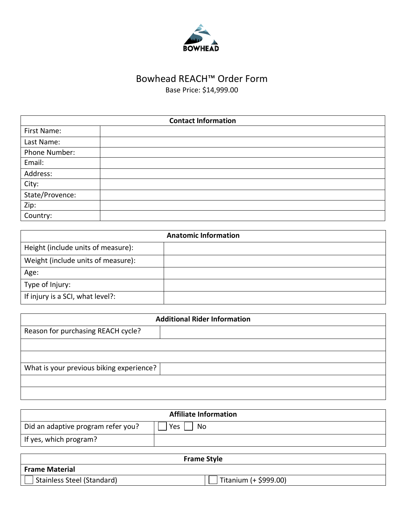

## Bowhead REACH™ Order Form

Base Price: \$14,999.00

| <b>Contact Information</b> |  |
|----------------------------|--|
| First Name:                |  |
| Last Name:                 |  |
| Phone Number:              |  |
| Email:                     |  |
| Address:                   |  |
| City:                      |  |
| State/Provence:            |  |
| Zip:                       |  |
| Country:                   |  |

| <b>Anatomic Information</b>        |  |
|------------------------------------|--|
| Height (include units of measure): |  |
| Weight (include units of measure): |  |
| Age:                               |  |
| Type of Injury:                    |  |
| If injury is a SCI, what level?:   |  |

| <b>Additional Rider Information</b>      |  |
|------------------------------------------|--|
| Reason for purchasing REACH cycle?       |  |
|                                          |  |
|                                          |  |
| What is your previous biking experience? |  |
|                                          |  |
|                                          |  |

| <b>Affiliate Information</b>       |           |
|------------------------------------|-----------|
| Did an adaptive program refer you? | Yes<br>No |
| If yes, which program?             |           |

| <b>Frame Style</b>         |                       |
|----------------------------|-----------------------|
| <b>Frame Material</b>      |                       |
| Stainless Steel (Standard) | Titanium (+ \$999.00) |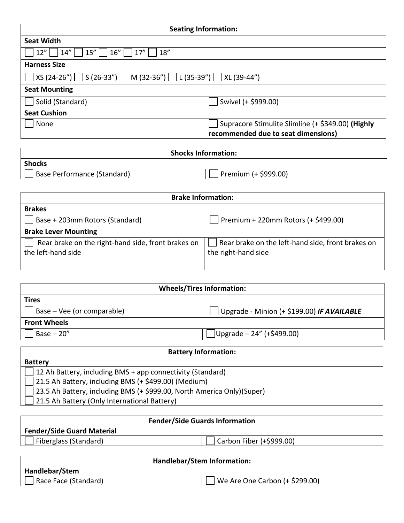| <b>Seating Information:</b>                                                     |                                                                                          |
|---------------------------------------------------------------------------------|------------------------------------------------------------------------------------------|
| <b>Seat Width</b>                                                               |                                                                                          |
| 18''<br>12"<br>14''<br>15''<br>16"<br>17''                                      |                                                                                          |
| <b>Harness Size</b>                                                             |                                                                                          |
| $ XS(24-26'') $ $ S(26-33'') $ $ M(32-36'') $ $ L(35-39'') $ $ $<br>XL (39-44") |                                                                                          |
| <b>Seat Mounting</b>                                                            |                                                                                          |
| Solid (Standard)                                                                | Swivel (+ \$999.00)                                                                      |
| <b>Seat Cushion</b>                                                             |                                                                                          |
| None                                                                            | Supracore Stimulite Slimline (+ \$349.00) (Highly<br>recommended due to seat dimensions) |

| <b>Shocks Information:</b>  |                                   |
|-----------------------------|-----------------------------------|
| <b>Shocks</b>               |                                   |
| Base Performance (Standard) | <sup>1</sup> Premium (+ \$999.00) |

| <b>Brake Information:</b>                                                |                                                                          |  |
|--------------------------------------------------------------------------|--------------------------------------------------------------------------|--|
| <b>Brakes</b>                                                            |                                                                          |  |
| Premium + 220mm Rotors (+ \$499.00)<br>Base + 203mm Rotors (Standard)    |                                                                          |  |
| <b>Brake Lever Mounting</b>                                              |                                                                          |  |
| Rear brake on the right-hand side, front brakes on<br>the left-hand side | Rear brake on the left-hand side, front brakes on<br>the right-hand side |  |

| <b>Wheels/Tires Information:</b> |                                            |  |
|----------------------------------|--------------------------------------------|--|
| <b>Tires</b>                     |                                            |  |
| Base – Vee (or comparable)       | Upgrade - Minion (+ \$199.00) IF AVAILABLE |  |
| <b>Front Wheels</b>              |                                            |  |
| Base $-20$ "                     | $ Upgrade - 24" (+ $499.00)$               |  |
| Dottom: Information:             |                                            |  |

| <b>Battery Information:</b>                                             |  |  |
|-------------------------------------------------------------------------|--|--|
| <b>Battery</b>                                                          |  |  |
| 12 Ah Battery, including BMS + app connectivity (Standard)              |  |  |
| 21.5 Ah Battery, including BMS (+ \$499.00) (Medium)                    |  |  |
| 23.5 Ah Battery, including BMS (+ \$999.00, North America Only) (Super) |  |  |
| 21.5 Ah Battery (Only International Battery)                            |  |  |

| <b>Fender/Side Guards Information</b> |                          |
|---------------------------------------|--------------------------|
| <b>Fender/Side Guard Material</b>     |                          |
| Fiberglass (Standard)                 | Carbon Fiber (+\$999.00) |
|                                       |                          |

| Handlebar/Stem Information: |                                |
|-----------------------------|--------------------------------|
| Handlebar/Stem              |                                |
| Race Face (Standard)        | We Are One Carbon (+ \$299.00) |